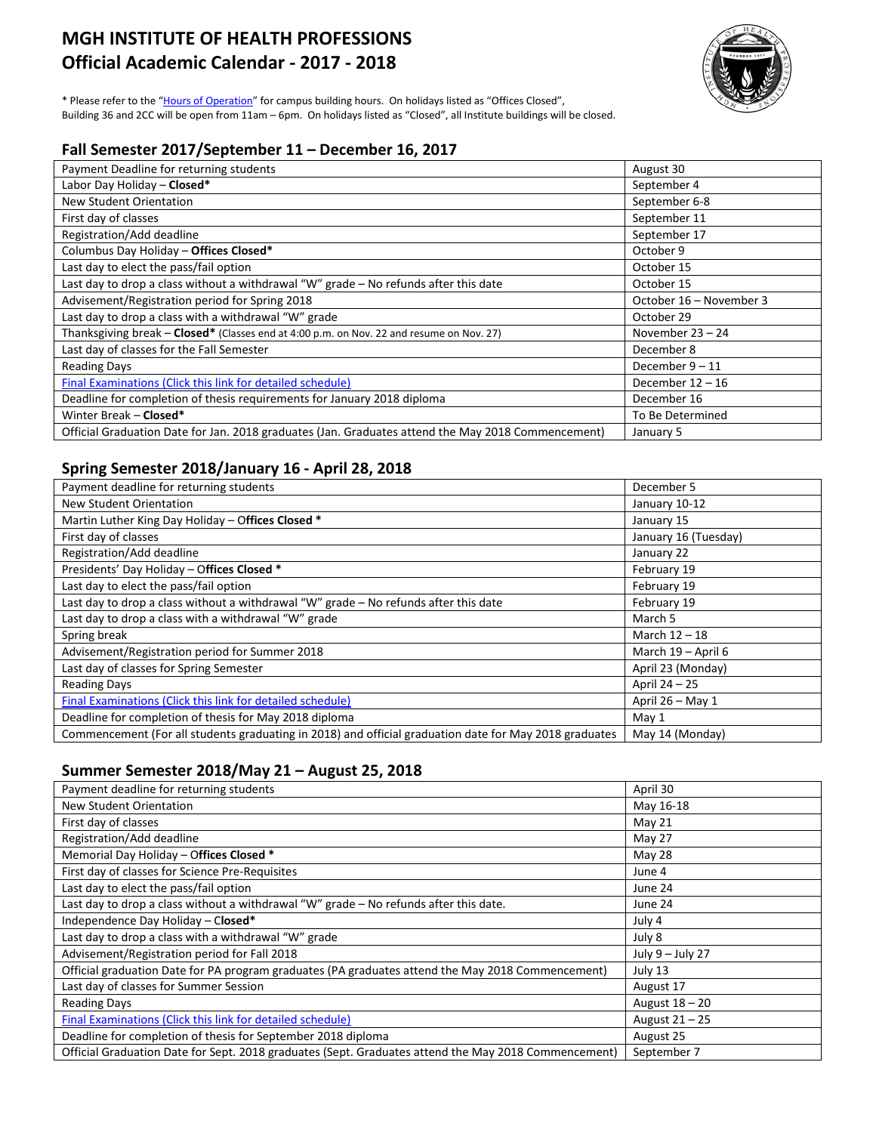# **MGH INSTITUTE OF HEALTH PROFESSIONS Official Academic Calendar - 2017 - 2018**



\* Please refer to the ["Hours of Operation"](http://www.mghihp.edu/about-us/offices-and-services/facilities/hours.aspx) for campus building hours. On holidays listed as "Offices Closed", Building 36 and 2CC will be open from 11am – 6pm. On holidays listed as "Closed", all Institute buildings will be closed.

# **Fall Semester 2017/September 11 – December 16, 2017**

| Payment Deadline for returning students                                                            | August 30               |
|----------------------------------------------------------------------------------------------------|-------------------------|
| Labor Day Holiday - Closed*                                                                        | September 4             |
| New Student Orientation                                                                            | September 6-8           |
| First day of classes                                                                               | September 11            |
| Registration/Add deadline                                                                          | September 17            |
| Columbus Day Holiday - Offices Closed*                                                             | October 9               |
| Last day to elect the pass/fail option                                                             | October 15              |
| Last day to drop a class without a withdrawal "W" grade $-$ No refunds after this date             | October 15              |
| Advisement/Registration period for Spring 2018                                                     | October 16 – November 3 |
| Last day to drop a class with a withdrawal "W" grade                                               | October 29              |
| Thanksgiving break - Closed* (Classes end at 4:00 p.m. on Nov. 22 and resume on Nov. 27)           | November $23 - 24$      |
| Last day of classes for the Fall Semester                                                          | December 8              |
| <b>Reading Days</b>                                                                                | December $9 - 11$       |
| Final Examinations (Click this link for detailed schedule)                                         | December $12 - 16$      |
| Deadline for completion of thesis requirements for January 2018 diploma                            | December 16             |
| Winter Break - Closed*                                                                             | To Be Determined        |
| Official Graduation Date for Jan. 2018 graduates (Jan. Graduates attend the May 2018 Commencement) | January 5               |

# **Spring Semester 2018/January 16 - April 28, 2018**

| Payment deadline for returning students                                                                | December 5           |
|--------------------------------------------------------------------------------------------------------|----------------------|
| New Student Orientation                                                                                | January 10-12        |
| Martin Luther King Day Holiday - Offices Closed *                                                      | January 15           |
| First day of classes                                                                                   | January 16 (Tuesday) |
| Registration/Add deadline                                                                              | January 22           |
| Presidents' Day Holiday - Offices Closed *                                                             | February 19          |
| Last day to elect the pass/fail option                                                                 | February 19          |
| Last day to drop a class without a withdrawal "W" grade - No refunds after this date                   | February 19          |
| Last day to drop a class with a withdrawal "W" grade                                                   | March 5              |
| Spring break                                                                                           | March 12 - 18        |
| Advisement/Registration period for Summer 2018                                                         | March 19 - April 6   |
| Last day of classes for Spring Semester                                                                | April 23 (Monday)    |
| <b>Reading Days</b>                                                                                    | April 24 - 25        |
| Final Examinations (Click this link for detailed schedule)                                             | April 26 - May 1     |
| Deadline for completion of thesis for May 2018 diploma                                                 | May 1                |
| Commencement (For all students graduating in 2018) and official graduation date for May 2018 graduates | May 14 (Monday)      |

#### **Summer Semester 2018/May 21 – August 25, 2018**

| Payment deadline for returning students                                                              | April 30         |
|------------------------------------------------------------------------------------------------------|------------------|
| <b>New Student Orientation</b>                                                                       | May 16-18        |
| First day of classes                                                                                 | May 21           |
| Registration/Add deadline                                                                            | May 27           |
| Memorial Day Holiday - Offices Closed *                                                              | May 28           |
| First day of classes for Science Pre-Requisites                                                      | June 4           |
| Last day to elect the pass/fail option                                                               | June 24          |
| Last day to drop a class without a withdrawal "W" grade - No refunds after this date.                | June 24          |
| Independence Day Holiday - Closed*                                                                   | July 4           |
| Last day to drop a class with a withdrawal "W" grade                                                 | July 8           |
| Advisement/Registration period for Fall 2018                                                         | July 9 - July 27 |
| Official graduation Date for PA program graduates (PA graduates attend the May 2018 Commencement)    | July 13          |
| Last day of classes for Summer Session                                                               | August 17        |
| <b>Reading Days</b>                                                                                  | August 18 – 20   |
| Final Examinations (Click this link for detailed schedule)                                           | August $21 - 25$ |
| Deadline for completion of thesis for September 2018 diploma                                         | August 25        |
| Official Graduation Date for Sept. 2018 graduates (Sept. Graduates attend the May 2018 Commencement) | September 7      |